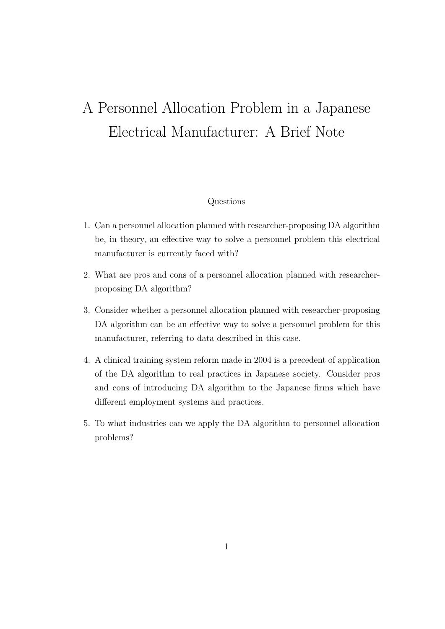# A Personnel Allocation Problem in a Japanese Electrical Manufacturer: A Brief Note

#### Questions

- 1. Can a personnel allocation planned with researcher-proposing DA algorithm be, in theory, an effective way to solve a personnel problem this electrical manufacturer is currently faced with?
- 2. What are pros and cons of a personnel allocation planned with researcherproposing DA algorithm?
- 3. Consider whether a personnel allocation planned with researcher-proposing DA algorithm can be an effective way to solve a personnel problem for this manufacturer, referring to data described in this case.
- 4. A clinical training system reform made in 2004 is a precedent of application of the DA algorithm to real practices in Japanese society. Consider pros and cons of introducing DA algorithm to the Japanese firms which have different employment systems and practices.
- 5. To what industries can we apply the DA algorithm to personnel allocation problems?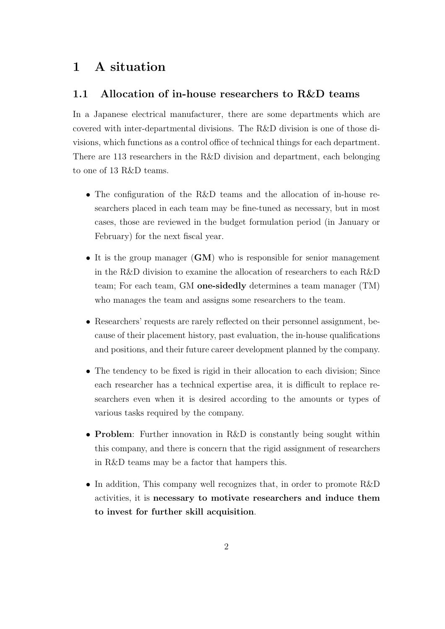## **1 A situation**

#### **1.1 Allocation of in-house researchers to R&D teams**

In a Japanese electrical manufacturer, there are some departments which are covered with inter-departmental divisions. The R&D division is one of those divisions, which functions as a control office of technical things for each department. There are 113 researchers in the R&D division and department, each belonging to one of 13 R&D teams.

- The configuration of the R&D teams and the allocation of in-house researchers placed in each team may be fine-tuned as necessary, but in most cases, those are reviewed in the budget formulation period (in January or February) for the next fiscal year.
- *•* It is the group manager (**GM**) who is responsible for senior management in the R&D division to examine the allocation of researchers to each R&D team; For each team, GM **one-sidedly** determines a team manager (TM) who manages the team and assigns some researchers to the team.
- Researchers' requests are rarely reflected on their personnel assignment, because of their placement history, past evaluation, the in-house qualifications and positions, and their future career development planned by the company.
- The tendency to be fixed is rigid in their allocation to each division; Since each researcher has a technical expertise area, it is difficult to replace researchers even when it is desired according to the amounts or types of various tasks required by the company.
- **Problem**: Further innovation in R&D is constantly being sought within this company, and there is concern that the rigid assignment of researchers in R&D teams may be a factor that hampers this.
- In addition, This company well recognizes that, in order to promote R&D activities, it is **necessary to motivate researchers and induce them to invest for further skill acquisition**.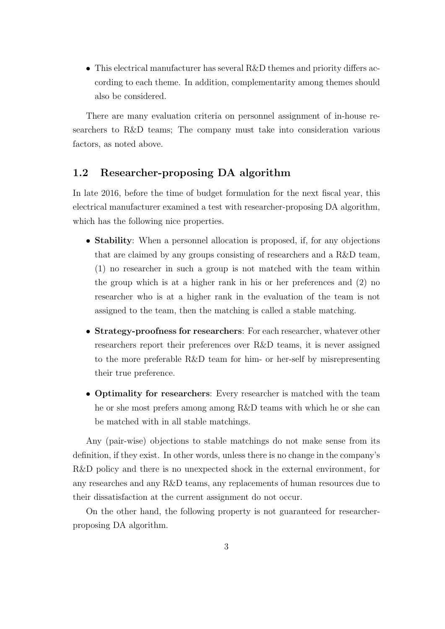• This electrical manufacturer has several R&D themes and priority differs according to each theme. In addition, complementarity among themes should also be considered.

There are many evaluation criteria on personnel assignment of in-house researchers to R&D teams; The company must take into consideration various factors, as noted above.

### **1.2 Researcher-proposing DA algorithm**

In late 2016, before the time of budget formulation for the next fiscal year, this electrical manufacturer examined a test with researcher-proposing DA algorithm, which has the following nice properties.

- **Stability**: When a personnel allocation is proposed, if, for any objections that are claimed by any groups consisting of researchers and a R&D team, (1) no researcher in such a group is not matched with the team within the group which is at a higher rank in his or her preferences and (2) no researcher who is at a higher rank in the evaluation of the team is not assigned to the team, then the matching is called a stable matching.
- *•* **Strategy-proofness for researchers**: For each researcher, whatever other researchers report their preferences over R&D teams, it is never assigned to the more preferable R&D team for him- or her-self by misrepresenting their true preference.
- *•* **Optimality for researchers**: Every researcher is matched with the team he or she most prefers among among R&D teams with which he or she can be matched with in all stable matchings.

Any (pair-wise) objections to stable matchings do not make sense from its definition, if they exist. In other words, unless there is no change in the company's R&D policy and there is no unexpected shock in the external environment, for any researches and any R&D teams, any replacements of human resources due to their dissatisfaction at the current assignment do not occur.

On the other hand, the following property is not guaranteed for researcherproposing DA algorithm.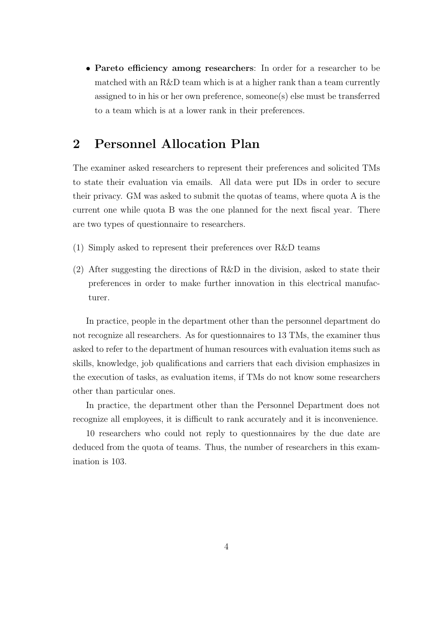*•* **Pareto efficiency among researchers**: In order for a researcher to be matched with an R&D team which is at a higher rank than a team currently assigned to in his or her own preference, someone(s) else must be transferred to a team which is at a lower rank in their preferences.

## **2 Personnel Allocation Plan**

The examiner asked researchers to represent their preferences and solicited TMs to state their evaluation via emails. All data were put IDs in order to secure their privacy. GM was asked to submit the quotas of teams, where quota A is the current one while quota B was the one planned for the next fiscal year. There are two types of questionnaire to researchers.

- (1) Simply asked to represent their preferences over R&D teams
- (2) After suggesting the directions of R&D in the division, asked to state their preferences in order to make further innovation in this electrical manufacturer.

In practice, people in the department other than the personnel department do not recognize all researchers. As for questionnaires to 13 TMs, the examiner thus asked to refer to the department of human resources with evaluation items such as skills, knowledge, job qualifications and carriers that each division emphasizes in the execution of tasks, as evaluation items, if TMs do not know some researchers other than particular ones.

In practice, the department other than the Personnel Department does not recognize all employees, it is difficult to rank accurately and it is inconvenience.

10 researchers who could not reply to questionnaires by the due date are deduced from the quota of teams. Thus, the number of researchers in this examination is 103.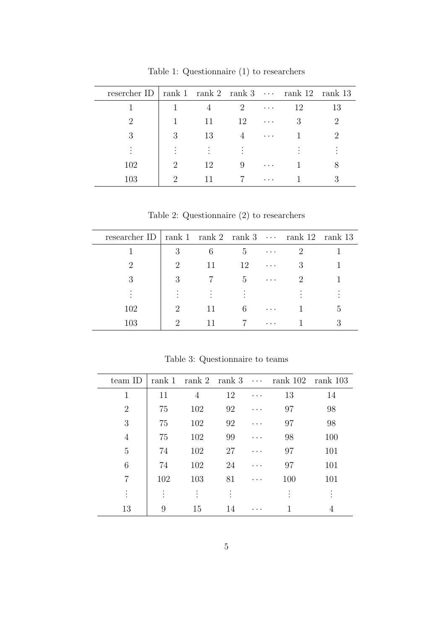| resercher ID   rank 1 $\text{rank } 2$ rank 3 $\cdots$ rank 12 rank 13 |                             |           |                             |          |           |    |
|------------------------------------------------------------------------|-----------------------------|-----------|-----------------------------|----------|-----------|----|
|                                                                        |                             |           | $\mathcal{D}_{\mathcal{L}}$ | $\cdots$ | 12        | 13 |
| 2                                                                      |                             | 11        | 12                          | $\cdots$ | 3         | 2  |
| 3                                                                      | 3                           | 13        |                             | $\cdots$ |           |    |
| $\cdot$                                                                | $\cdot$                     | $\bullet$ |                             |          | $\bullet$ |    |
| 102                                                                    | $\mathcal{D}_{\mathcal{L}}$ | 12        | 9                           | $\cdots$ |           |    |
| 103                                                                    | 2                           |           |                             | $\cdots$ |           |    |

Table 1: Questionnaire (1) to researchers

Table 2: Questionnaire (2) to researchers

| researcher ID   rank 1 $\text{rank } 2$ rank 3 $\cdots$ rank 12 rank 13 |                             |           |               |          |               |   |
|-------------------------------------------------------------------------|-----------------------------|-----------|---------------|----------|---------------|---|
|                                                                         | 3                           | 6         | 5             | $\cdots$ | 2             |   |
| $\mathcal{D}_{\mathcal{A}}$                                             | 2                           | 11        | 12            | $\cdots$ | 3             |   |
| 3                                                                       | 3                           |           | $\frac{5}{2}$ | $\cdots$ | $\mathcal{D}$ |   |
|                                                                         | ٠                           | $\bullet$ | ٠             |          |               |   |
| 102                                                                     | 2                           | 11        | 6             | $\cdots$ |               | 5 |
| 103                                                                     | $\mathcal{D}_{\mathcal{L}}$ |           |               | $\cdots$ |               | 3 |

Table 3: Questionnaire to teams

| team ID                |                |                |           |          | rank 1 rank 2 rank $3 \cdots$ rank $102$ rank $103$ |           |
|------------------------|----------------|----------------|-----------|----------|-----------------------------------------------------|-----------|
| $\mathbf{1}$           | 11             | 4              | 12        | $\cdots$ | 13                                                  | 14        |
| $\overline{2}$         | 75             | 102            | 92        | $\cdots$ | 97                                                  | 98        |
| 3                      | 75             | 102            | 92        | $\cdots$ | 97                                                  | 98        |
| $\overline{4}$         | 75             | 102            | 99        | $\cdots$ | 98                                                  | 100       |
| 5                      | 74             | 102            | 27        | $\cdots$ | 97                                                  | 101       |
| 6                      | 74             | 102            | 24        | $\cdots$ | 97                                                  | 101       |
| 7                      | 102            | 103            | 81        | $\cdots$ | 100                                                 | 101       |
| $\bullet$<br>$\bullet$ | ٠<br>$\bullet$ | ٠<br>$\bullet$ | $\bullet$ |          | $\bullet$                                           | $\bullet$ |
| 13                     | 9              | 15             | 14        |          |                                                     | 4         |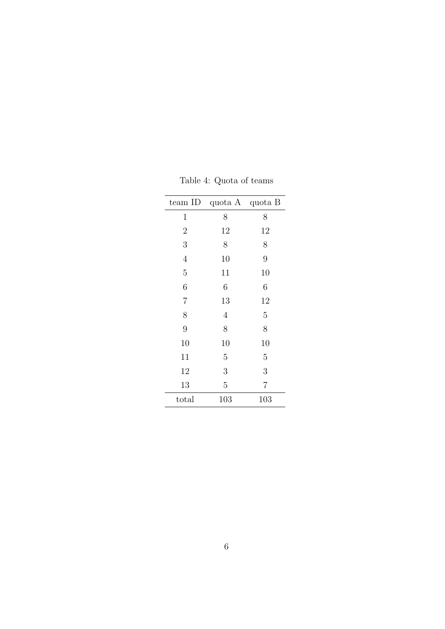| team ID        | quota A        | quota B        |
|----------------|----------------|----------------|
| 1              | 8              | 8              |
| $\overline{2}$ | 12             | 12             |
| 3              | 8              | 8              |
| $\overline{4}$ | 10             | 9              |
| $\overline{5}$ | 11             | 10             |
| 6              | 6              | 6              |
| $\overline{7}$ | 13             | 12             |
| 8              | 4              | 5              |
| 9              | 8              | 8              |
| 10             | 10             | 10             |
| 11             | $\overline{5}$ | 5              |
| 12             | 3              | 3              |
| 13             | 5              | $\overline{7}$ |
| total          | 103            | 103            |

Table 4: Quota of teams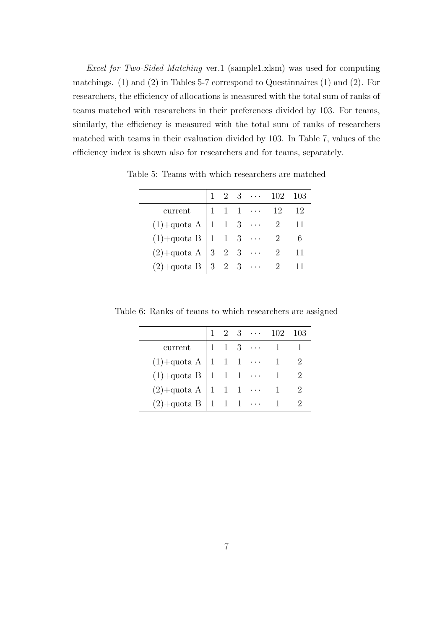*Excel for Two-Sided Matching* ver.1 (sample1.xlsm) was used for computing matchings. (1) and (2) in Tables 5-7 correspond to Questinnaires (1) and (2). For researchers, the efficiency of allocations is measured with the total sum of ranks of teams matched with researchers in their preferences divided by 103. For teams, similarly, the efficiency is measured with the total sum of ranks of researchers matched with teams in their evaluation divided by 103. In Table 7, values of the efficiency index is shown also for researchers and for teams, separately.

|                                                                                                                |  |  | $2 \quad 3 \quad \cdots \quad 102 \quad 103$       |  |
|----------------------------------------------------------------------------------------------------------------|--|--|----------------------------------------------------|--|
| current                                                                                                        |  |  | $1 \quad 1 \quad 1 \quad \cdots \quad 12 \quad 12$ |  |
| (1)+quota A   1 1 3 $\cdots$ 2 11                                                                              |  |  |                                                    |  |
|                                                                                                                |  |  |                                                    |  |
| (1)+quota B $\begin{vmatrix} 1 & 1 & 3 & \cdots & 2 \\ 2 & -quot a & A & 3 & 2 & 3 & \cdots & 2 \end{vmatrix}$ |  |  |                                                    |  |
| $(2)$ +quota B $\begin{vmatrix} 3 & 2 & 3 & \cdots & 2 \end{vmatrix}$                                          |  |  |                                                    |  |

Table 5: Teams with which researchers are matched

Table 6: Ranks of teams to which researchers are assigned

|                                |  |  | $1 \quad 2 \quad 3 \quad \cdots \quad 102$                      | 103 |
|--------------------------------|--|--|-----------------------------------------------------------------|-----|
| $\it current$                  |  |  | $\begin{array}{ccccccccc}\n1 & 1 & 3 & \cdots & 1\n\end{array}$ |     |
| $(1)$ +quota A   1 1 1 ··· 1   |  |  |                                                                 |     |
| (1)+quota B   1 1 1 $\cdots$ 1 |  |  |                                                                 |     |
| $(2)$ +quota A   1 1 1 … 1     |  |  |                                                                 |     |
| $(2) +$ quota B   1 1 1 … 1    |  |  |                                                                 |     |